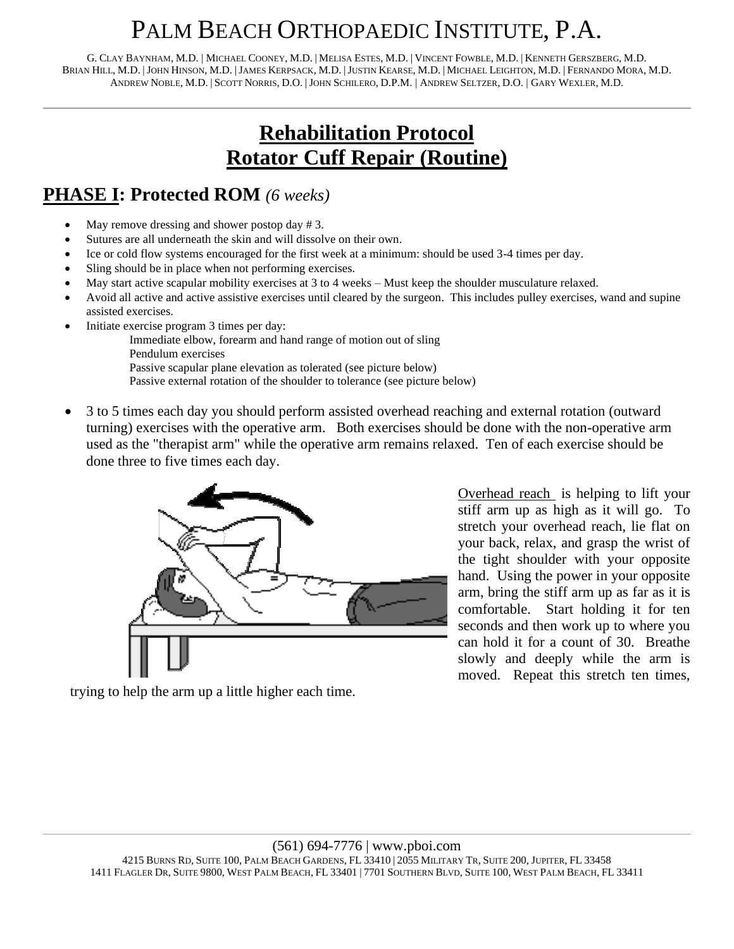# PALM BEACH ORTHOPAEDIC INSTITUTE, P.A.

G. CLAY BAYNHAM, M.D. | MICHAEL COONEY, M.D. | MELISA ESTES, M.D. | VINCENT FOWBLE, M.D. | KENNETH GERSZBERG, M.D. BRIAN HILL, M.D. |JOHN HINSON, M.D. |JAMES KERPSACK, M.D. |JUSTIN KEARSE, M.D. | MICHAEL LEIGHTON, M.D. | FERNANDO MORA, M.D. ANDREW NOBLE, M.D. | SCOTT NORRIS, D.O. |JOHN SCHILERO, D.P.M. | ANDREW SELTZER, D.O. | GARY WEXLER, M.D.

## **Rehabilitation Protocol Rotator Cuff Repair (Routine)**

#### **PHASE I: Protected ROM** *(6 weeks)*

- May remove dressing and shower postop day #3.
- Sutures are all underneath the skin and will dissolve on their own.
- Ice or cold flow systems encouraged for the first week at a minimum: should be used 3-4 times per day.
- Sling should be in place when not performing exercises.
- May start active scapular mobility exercises at 3 to 4 weeks Must keep the shoulder musculature relaxed.
- Avoid all active and active assistive exercises until cleared by the surgeon. This includes pulley exercises, wand and supine assisted exercises.
- Initiate exercise program 3 times per day:
	- Immediate elbow, forearm and hand range of motion out of sling
	- Pendulum exercises
	- Passive scapular plane elevation as tolerated (see picture below)
	- Passive external rotation of the shoulder to tolerance (see picture below)
- 3 to 5 times each day you should perform assisted overhead reaching and external rotation (outward turning) exercises with the operative arm. Both exercises should be done with the non-operative arm used as the "therapist arm" while the operative arm remains relaxed. Ten of each exercise should be done three to five times each day.



Overhead reach is helping to lift your stiff arm up as high as it will go. To stretch your overhead reach, lie flat on your back, relax, and grasp the wrist of the tight shoulder with your opposite hand. Using the power in your opposite arm, bring the stiff arm up as far as it is comfortable. Start holding it for ten seconds and then work up to where you can hold it for a count of 30. Breathe slowly and deeply while the arm is moved. Repeat this stretch ten times,

trying to help the arm up a little higher each time.